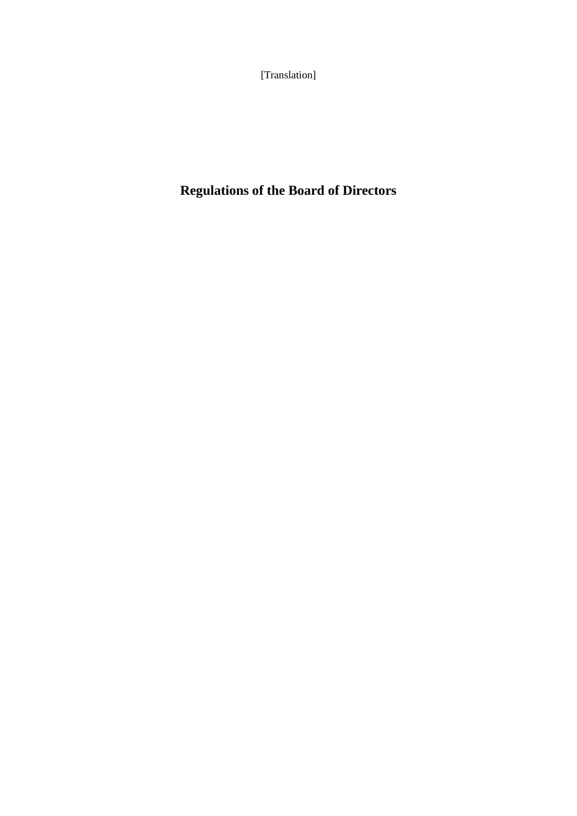[Translation]

# **Regulations of the Board of Directors**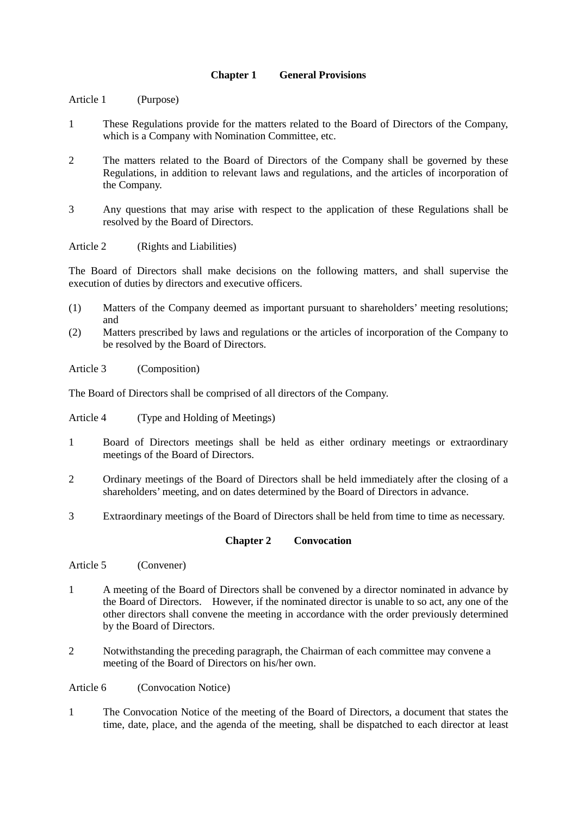#### **Chapter 1 General Provisions**

- Article 1 (Purpose)
- 1 These Regulations provide for the matters related to the Board of Directors of the Company, which is a Company with Nomination Committee, etc.
- 2 The matters related to the Board of Directors of the Company shall be governed by these Regulations, in addition to relevant laws and regulations, and the articles of incorporation of the Company.
- 3 Any questions that may arise with respect to the application of these Regulations shall be resolved by the Board of Directors.

Article 2 (Rights and Liabilities)

The Board of Directors shall make decisions on the following matters, and shall supervise the execution of duties by directors and executive officers.

- (1) Matters of the Company deemed as important pursuant to shareholders' meeting resolutions; and
- (2) Matters prescribed by laws and regulations or the articles of incorporation of the Company to be resolved by the Board of Directors.

Article 3 (Composition)

The Board of Directors shall be comprised of all directors of the Company.

Article 4 (Type and Holding of Meetings)

- 1 Board of Directors meetings shall be held as either ordinary meetings or extraordinary meetings of the Board of Directors.
- 2 Ordinary meetings of the Board of Directors shall be held immediately after the closing of a shareholders' meeting, and on dates determined by the Board of Directors in advance.
- 3 Extraordinary meetings of the Board of Directors shall be held from time to time as necessary.

### **Chapter 2 Convocation**

Article 5 (Convener)

- 1 A meeting of the Board of Directors shall be convened by a director nominated in advance by the Board of Directors. However, if the nominated director is unable to so act, any one of the other directors shall convene the meeting in accordance with the order previously determined by the Board of Directors.
- 2 Notwithstanding the preceding paragraph, the Chairman of each committee may convene a meeting of the Board of Directors on his/her own.

Article 6 (Convocation Notice)

1 The Convocation Notice of the meeting of the Board of Directors, a document that states the time, date, place, and the agenda of the meeting, shall be dispatched to each director at least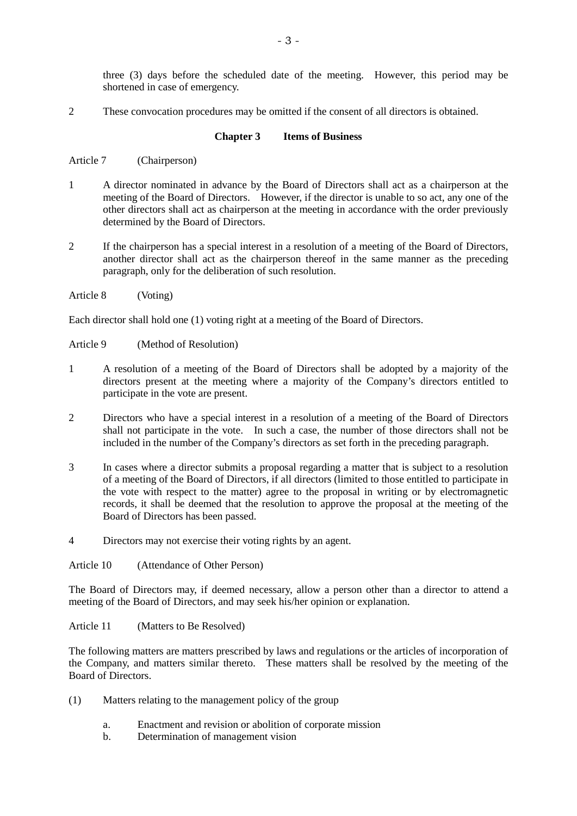three (3) days before the scheduled date of the meeting. However, this period may be shortened in case of emergency.

2 These convocation procedures may be omitted if the consent of all directors is obtained.

#### **Chapter 3 Items of Business**

Article 7 (Chairperson)

- 1 A director nominated in advance by the Board of Directors shall act as a chairperson at the meeting of the Board of Directors. However, if the director is unable to so act, any one of the other directors shall act as chairperson at the meeting in accordance with the order previously determined by the Board of Directors.
- 2 If the chairperson has a special interest in a resolution of a meeting of the Board of Directors, another director shall act as the chairperson thereof in the same manner as the preceding paragraph, only for the deliberation of such resolution.
- Article 8 (Voting)

Each director shall hold one (1) voting right at a meeting of the Board of Directors.

- Article 9 (Method of Resolution)
- 1 A resolution of a meeting of the Board of Directors shall be adopted by a majority of the directors present at the meeting where a majority of the Company's directors entitled to participate in the vote are present.
- 2 Directors who have a special interest in a resolution of a meeting of the Board of Directors shall not participate in the vote. In such a case, the number of those directors shall not be included in the number of the Company's directors as set forth in the preceding paragraph.
- 3 In cases where a director submits a proposal regarding a matter that is subject to a resolution of a meeting of the Board of Directors, if all directors (limited to those entitled to participate in the vote with respect to the matter) agree to the proposal in writing or by electromagnetic records, it shall be deemed that the resolution to approve the proposal at the meeting of the Board of Directors has been passed.
- 4 Directors may not exercise their voting rights by an agent.

Article 10 (Attendance of Other Person)

The Board of Directors may, if deemed necessary, allow a person other than a director to attend a meeting of the Board of Directors, and may seek his/her opinion or explanation.

Article 11 (Matters to Be Resolved)

The following matters are matters prescribed by laws and regulations or the articles of incorporation of the Company, and matters similar thereto. These matters shall be resolved by the meeting of the Board of Directors.

- (1) Matters relating to the management policy of the group
	- a. Enactment and revision or abolition of corporate mission
	- b. Determination of management vision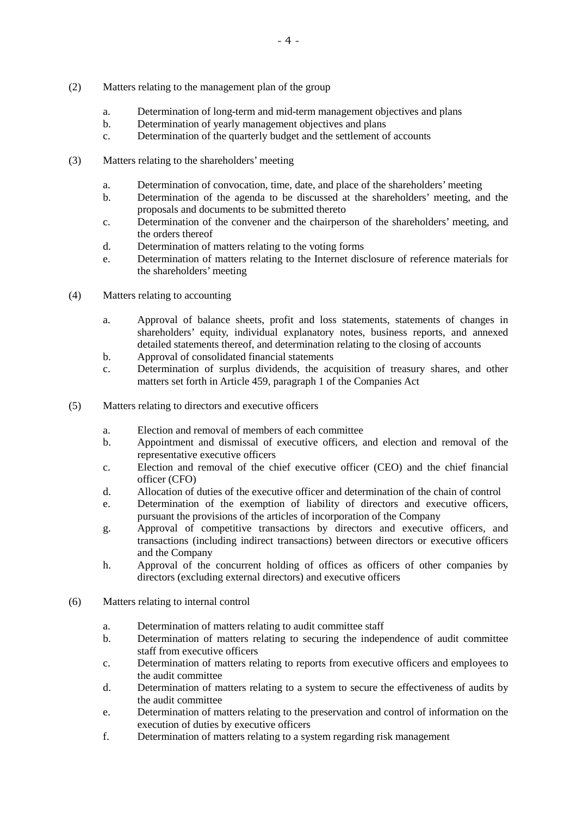- (2) Matters relating to the management plan of the group
	- a. Determination of long-term and mid-term management objectives and plans
	- b. Determination of yearly management objectives and plans
	- c. Determination of the quarterly budget and the settlement of accounts
- (3) Matters relating to the shareholders' meeting
	- a. Determination of convocation, time, date, and place of the shareholders' meeting
	- b. Determination of the agenda to be discussed at the shareholders' meeting, and the proposals and documents to be submitted thereto
	- c. Determination of the convener and the chairperson of the shareholders' meeting, and the orders thereof
	- d. Determination of matters relating to the voting forms
	- e. Determination of matters relating to the Internet disclosure of reference materials for the shareholders' meeting
- (4) Matters relating to accounting
	- a. Approval of balance sheets, profit and loss statements, statements of changes in shareholders' equity, individual explanatory notes, business reports, and annexed detailed statements thereof, and determination relating to the closing of accounts
	- b. Approval of consolidated financial statements
	- c. Determination of surplus dividends, the acquisition of treasury shares, and other matters set forth in Article 459, paragraph 1 of the Companies Act
- (5) Matters relating to directors and executive officers
	- a. Election and removal of members of each committee
	- b. Appointment and dismissal of executive officers, and election and removal of the representative executive officers
	- c. Election and removal of the chief executive officer (CEO) and the chief financial officer (CFO)
	- d. Allocation of duties of the executive officer and determination of the chain of control
	- e. Determination of the exemption of liability of directors and executive officers, pursuant the provisions of the articles of incorporation of the Company
	- g. Approval of competitive transactions by directors and executive officers, and transactions (including indirect transactions) between directors or executive officers and the Company
	- h. Approval of the concurrent holding of offices as officers of other companies by directors (excluding external directors) and executive officers
- (6) Matters relating to internal control
	- a. Determination of matters relating to audit committee staff
	- b. Determination of matters relating to securing the independence of audit committee staff from executive officers
	- c. Determination of matters relating to reports from executive officers and employees to the audit committee
	- d. Determination of matters relating to a system to secure the effectiveness of audits by the audit committee
	- e. Determination of matters relating to the preservation and control of information on the execution of duties by executive officers
	- f. Determination of matters relating to a system regarding risk management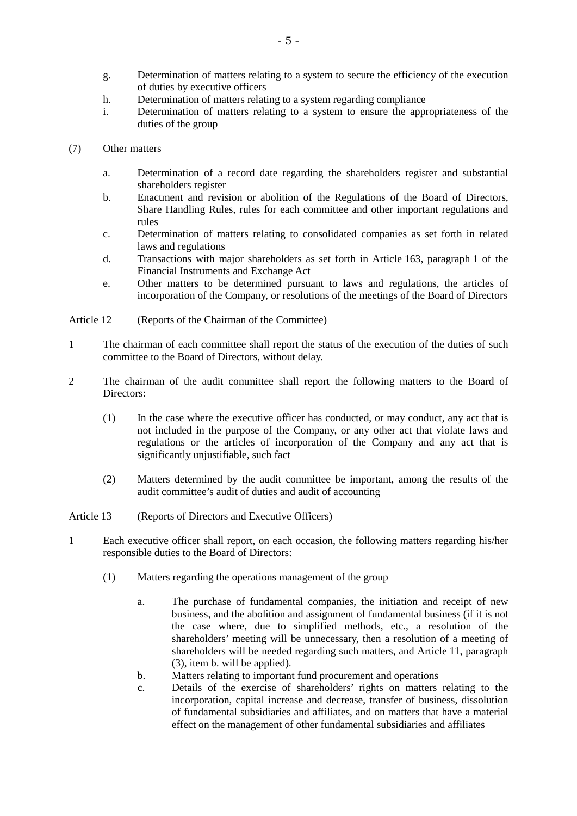- g. Determination of matters relating to a system to secure the efficiency of the execution of duties by executive officers
- h. Determination of matters relating to a system regarding compliance
- i. Determination of matters relating to a system to ensure the appropriateness of the duties of the group
- (7) Other matters
	- a. Determination of a record date regarding the shareholders register and substantial shareholders register
	- b. Enactment and revision or abolition of the Regulations of the Board of Directors, Share Handling Rules, rules for each committee and other important regulations and rules
	- c. Determination of matters relating to consolidated companies as set forth in related laws and regulations
	- d. Transactions with major shareholders as set forth in Article 163, paragraph 1 of the Financial Instruments and Exchange Act
	- e. Other matters to be determined pursuant to laws and regulations, the articles of incorporation of the Company, or resolutions of the meetings of the Board of Directors
- Article 12 (Reports of the Chairman of the Committee)
- 1 The chairman of each committee shall report the status of the execution of the duties of such committee to the Board of Directors, without delay.
- 2 The chairman of the audit committee shall report the following matters to the Board of Directors:
	- (1) In the case where the executive officer has conducted, or may conduct, any act that is not included in the purpose of the Company, or any other act that violate laws and regulations or the articles of incorporation of the Company and any act that is significantly unjustifiable, such fact
	- (2) Matters determined by the audit committee be important, among the results of the audit committee's audit of duties and audit of accounting
- Article 13 (Reports of Directors and Executive Officers)
- 1 Each executive officer shall report, on each occasion, the following matters regarding his/her responsible duties to the Board of Directors:
	- (1) Matters regarding the operations management of the group
		- a. The purchase of fundamental companies, the initiation and receipt of new business, and the abolition and assignment of fundamental business (if it is not the case where, due to simplified methods, etc., a resolution of the shareholders' meeting will be unnecessary, then a resolution of a meeting of shareholders will be needed regarding such matters, and Article 11, paragraph (3), item b. will be applied).
		- b. Matters relating to important fund procurement and operations
		- c. Details of the exercise of shareholders' rights on matters relating to the incorporation, capital increase and decrease, transfer of business, dissolution of fundamental subsidiaries and affiliates, and on matters that have a material effect on the management of other fundamental subsidiaries and affiliates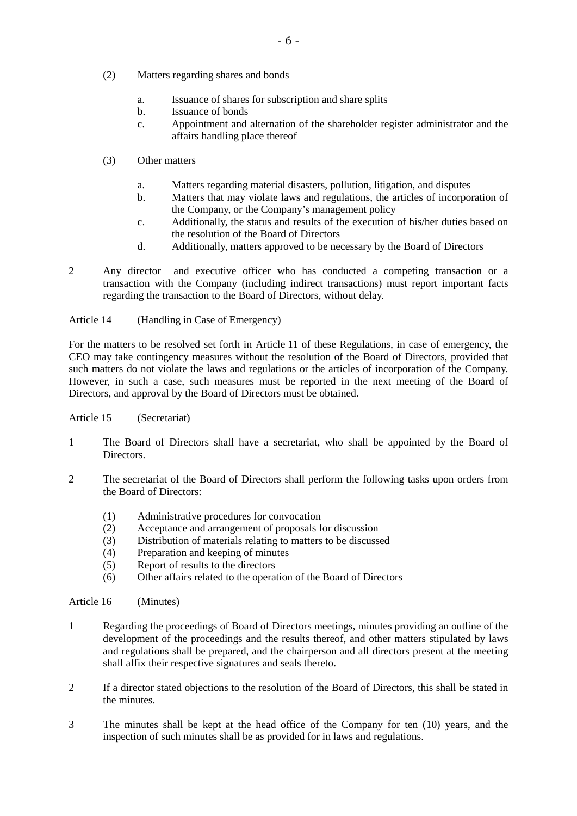- (2) Matters regarding shares and bonds
	- a. Issuance of shares for subscription and share splits
	- b. Issuance of bonds
	- c. Appointment and alternation of the shareholder register administrator and the affairs handling place thereof
- (3) Other matters
	- a. Matters regarding material disasters, pollution, litigation, and disputes
	- b. Matters that may violate laws and regulations, the articles of incorporation of the Company, or the Company's management policy
	- c. Additionally, the status and results of the execution of his/her duties based on the resolution of the Board of Directors
	- d. Additionally, matters approved to be necessary by the Board of Directors
- 2 Any director and executive officer who has conducted a competing transaction or a transaction with the Company (including indirect transactions) must report important facts regarding the transaction to the Board of Directors, without delay.

Article 14 (Handling in Case of Emergency)

For the matters to be resolved set forth in Article 11 of these Regulations, in case of emergency, the CEO may take contingency measures without the resolution of the Board of Directors, provided that such matters do not violate the laws and regulations or the articles of incorporation of the Company. However, in such a case, such measures must be reported in the next meeting of the Board of Directors, and approval by the Board of Directors must be obtained.

#### Article 15 (Secretariat)

- 1 The Board of Directors shall have a secretariat, who shall be appointed by the Board of Directors.
- 2 The secretariat of the Board of Directors shall perform the following tasks upon orders from the Board of Directors:
	- (1) Administrative procedures for convocation
	- (2) Acceptance and arrangement of proposals for discussion
	- (3) Distribution of materials relating to matters to be discussed
	- (4) Preparation and keeping of minutes
	- (5) Report of results to the directors
	- (6) Other affairs related to the operation of the Board of Directors

Article 16 (Minutes)

- 1 Regarding the proceedings of Board of Directors meetings, minutes providing an outline of the development of the proceedings and the results thereof, and other matters stipulated by laws and regulations shall be prepared, and the chairperson and all directors present at the meeting shall affix their respective signatures and seals thereto.
- 2 If a director stated objections to the resolution of the Board of Directors, this shall be stated in the minutes.
- 3 The minutes shall be kept at the head office of the Company for ten (10) years, and the inspection of such minutes shall be as provided for in laws and regulations.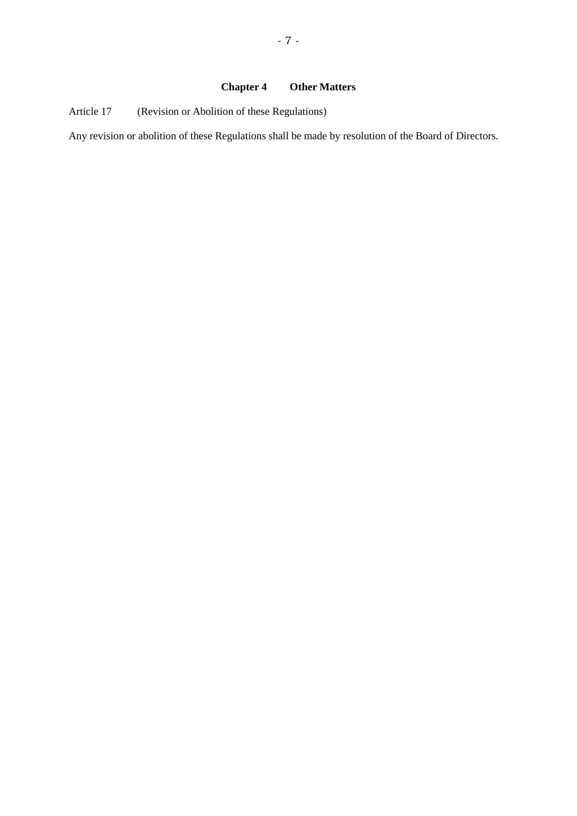## **Chapter 4 Other Matters**

Article 17 (Revision or Abolition of these Regulations)

Any revision or abolition of these Regulations shall be made by resolution of the Board of Directors.